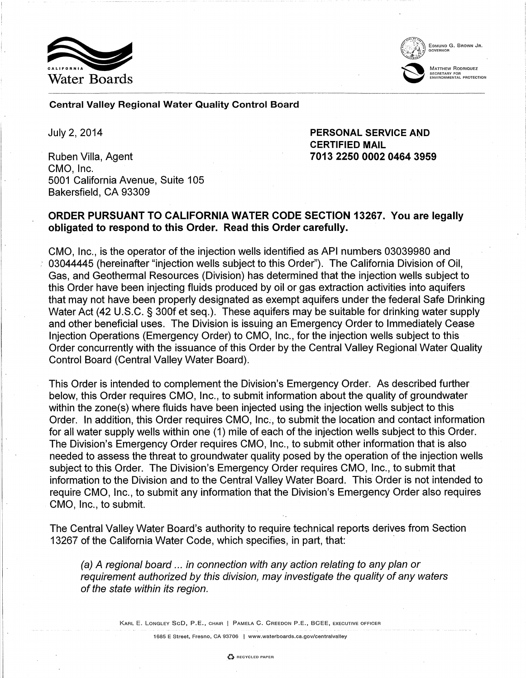



EDMUND G. BROWN JR.  $\left(\frac{G}{G}\right)$  . GOVERNOR

WATTHEW RODRIQUEZ MATTH SECRETARY FOR ENVIRONMENTAL PROTECTION

Central Valley Regional Water Quality Control Board

July 2, 2014

Ruben Villa, Agent CMO, Inc. 5001 California Avenue, Suite 105 Bakersfield, CA 93309

PERSONAL SERVICE AND CERTIFIED MAIL 7013 2250 0002 0464 3959

# ORDER PURSUANT TO CALIFORNIA WATER CODE SECTION 13267. You are legally obligated to respond to this Order. Read this Order carefully.

CMO, Inc., is the operator of the injection wells identified as API numbers 03039980 and : 03044445 (hereinafter "injection wells subject to this Order"). The California Division of Oil, Gas, and Geothermal Resources (Division) has determined that the injection wells subject to this Order have been injecting fluids produced by oil or gas extraction activities into aquifers that may not have. been properly designated as exempt aquifers under the federal Safe Drinking Water Act (42 U.S.C. § 300f et seq.). These aquifers may be suitable for drinking water supply and other beneficial uses. The Division is issuing an Emergency Order to Immediately Cease Injection Operations (Emergency Order) to CMO, Inc., for the injection wells subject to this Order concurrently with the issuance of this Order by the Central Valley Regional Water Quality Control Board (Central Valley Water Board).

This Order is intended to complement the Division's Emergency Order. As described further below, this Order requires CMO, Inc., to submit information about the quality of groundwater within the zone(s) where fluids have been injected using the injection wells subject to this Order. In addition, this Order requires CMO, Inc:, to submit the location and contact information for all water supply wells within one (1) mile of each of the injection wells subject to this Order. The Division's Emergency Order requires CMO, Inc., to submit other information that is also needed to assess the threat to groundwater quality posed by the operation of the injection wells subject to this Order. The Division's Emergency Order requires CMO, Inc., to submit that information to the Division and to the Central Valley Water Board. This Order is not intended to require CMO, Inc., to submit any information that the Division's Emergency Order also requires CMO, lhc., to submit.

The Central Valley Water Board's authority to require technical reports derives from Section 13267 of the California Water Code, which specifies, in part, that:

(a) A regional board ... in connection with any action relating to any plan or requirement authorized by this division, may investigate the quality of any waters of the state within its region.

KARL E. LONGLEY SeD, P.E., CHAIR I PAMELA C. CREEDON P.E., BCEE, EXECUTIVE OFFICER

1685 E Street, Fresno, CA 93706 1 www.waterboards.ca.gov/centralvalley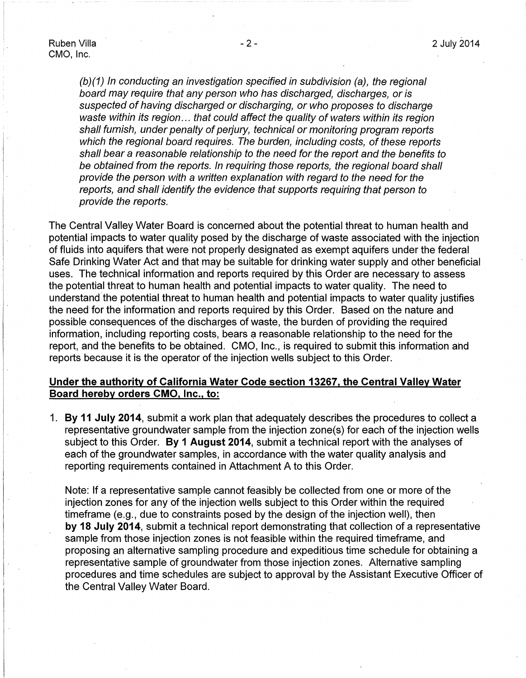(b)(1) In conducting an investigation specified in subdivision (a), the regional board may require that any person who has discharged, discharges, or is suspected of having discharged or discharging, or who proposes to discharge waste within its region... that could affect the quality of waters within its region shall furnish, under penalty of perjury, technical or monitoring program reports which the regional board requires. The burden, including costs, of these reports shall bear a reasonable relationship to the need for the report and the benefits to be obtained from the reports. In requiring those reports, the regional board shall provide the person with a written explanation with regard to the need for the reports, and shall identify the evidence that supports requiring that person to provide the reports.

The Central Valley Water Board is concerned about the potential threat to human health and potential impacts to water quality posed by the discharge of waste associated with the injection of fluids into aquifers that were not properly designated as exempt aquifers under the federal Safe Drinking Water Act and that may be suitable for drinking water supply and other beneficial uses. The technical information and reports required by this Order are necessary to assess the potential threat to human health and potential impacts to water quality. The need to understand the potential threat to human health and potential impacts to water quality justifies the need for the information and reports required by this Order. Based on the nature and possible consequences of the discharges of waste, the burden of providing the required information, including reporting costs, bears a reasonable relationship to the need for the report, and the benefits to be obtained. CMO, Inc., is required to submit this information and reports because it is the operator of the injection wells subject to this Order.

### Under the authority of California Water Code section 13267, the Central Valley Water Board hereby orders CMO, Inc., to:

1. By 11 July 2014, submit a work plan that adequately describes the procedures to collect a representative groundwater sample from the injection zone(s) for each of the injection wells subject to this Order. By 1 August 2014, submit a technical report with the analyses of each of the groundwater samples, in accordance with the water quality analysis and reporting requirements contained in Attachment A to this Order.

Note: If a representative sample cannot feasibly be collected from one or more of the injection zones for any of the injection wells subject to this Order within the required timeframe (e.g., due to constraints posed by the design of the injection well), then by 18 July 2014, submit a technical report demonstrating that collection of a representative sample from those injection zones is not feasible within the required timeframe, and proposing an alternative sampling procedure and expeditious time schedule for obtaining a representative sample of groundwater from those injection zones. Alternative sampling procedures and time schedules are subject to approval by the Assistant Executive Officer of the Central Valley Water Board.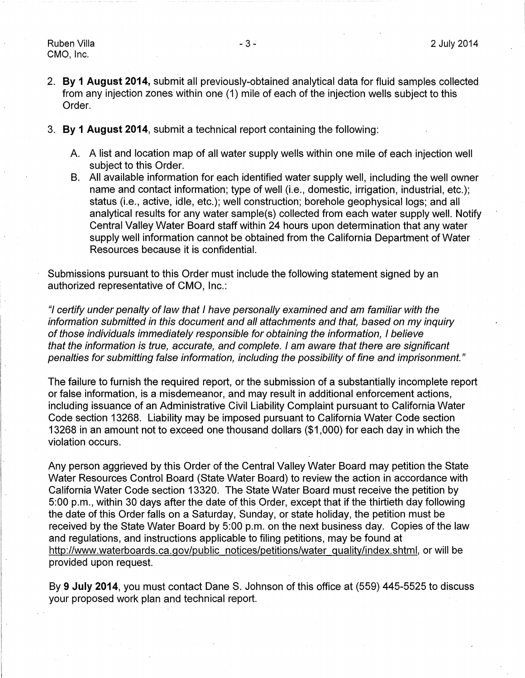Ruben Villa CMO, Inc.

- 2. **By 1 August 2014,** submit all previously-obtained analytical data for fluid samples collected from any injection zones within one (1) mile of each of the injection wells subject to this Order.
- 3. **By 1 August 2014,** submit a technical report containing the following:
	- A. A list and location map of all water supply wells within one mile of each injection well subject to this Order.
	- B. All available information for each identified water supply well, including the well owner name and contact information; type of well (i.e., domestic, irrigation, industrial, etc.); status (i.e., active, idle, etc.); well construction; borehole geophysical logs; and all analytical results for any water sample(s) collected from each water supply well. Notify Central Valley Water Board staff within 24 hours upon determination that any water supply well information cannot be obtained from the California Department of Water Resources because it is confidential.

Submissions pursuant to this Order must include the following statement signed by an authorized representative of CMO, Inc.:

"/ certify under penalty of Jaw that I have personally examined and am familiar with the information submitted in this document and all attachments and that, based on my inquiry of those individuals immediately responsible for obtaining the information, I believe that the information is true, accurate, and complete. I am aware that there are significant penalties for submitting false information, including the possibility of fine and imprisonment."

The failure to furnish the required report, or the submission of a substantially incomplete report or false information, is a misdemeanor, and may result in additional enforcement actions, including issuance of an Administrative Civil Liability Complaint pursuant to California Water Code section 13268. Liability may be imposed pursuant to California Water Code section 13268 in an amount not to exceed one thousand dollars (\$1 ,000) for each day in which the violation occurs.

Any person aggrieved by this Order of the Central Valley Water Board may petition the State Water Resources Control Board (State Water Board) to review the action in accordance with California Water Code section 13320. The State Water Board must receive the petition by 5:00 p.m., within 30 days after the date of this Order, except that if the thirtieth day following the date of this Order falls on a Saturday, Sunday, or state holiday, the petition must be received by the State Water Board by 5:00 p.m. on the next business day. Copies of the law and regulations, and instructions applicable to filing petitions, may be found at http://www.waterboards.ca.gov/public notices/petitions/water guality/index.shtml, or will be provided upon request.

By 9 July 2014, you must contact Dane S. Johnson of this office at (559) 445-5525 to discuss your proposed work plan and technical report.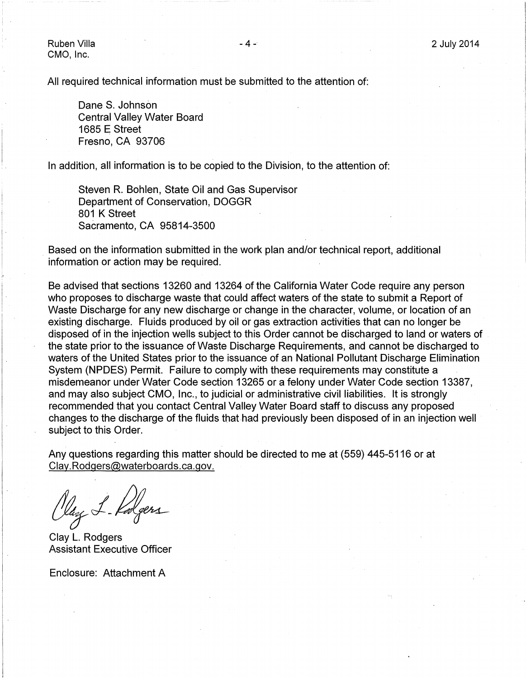2 July 2014

Ruben Villa CMO, Inc.

All required technical information must be submitted to the attention of:

Dane S. Johnson Central Valley Water Board 1685 E Street Fresno, CA 93706

In addition, all information is to be copied to the Division, to the attention of:

Steven R. Bohlen, State Oil and Gas Supervisor Department of Conservation, DOGGR 801 K Street Sacramento, CA 95814-3500

. Based on the information submitted in the work plan and/or technical report, additional information or action may be required.

Be advised that sections 13260 and 13264 of the California Water Code require any person who proposes to discharge waste that could affect waters of the state to submit a Report of Waste Discharge for any new discharge or change in the character, volume, or location of an existing discharge. Fluids produced by oil or gas extraction activities that can no longer be disposed of in the injection wells subject to this Order cannot be discharged to land or waters of the state prior to the issuance of Waste Discharge Requirements, and cannot be discharged to waters of the United States prior to the issuance of an National Pollutant Discharge Elimination System (NPDES) Permit. Failure to comply with these requirements may constitute a misdemeanor under Water Code section 13265 or a felony under Water Code section 13387, and may also subject CMO, Inc., to judicial or administrative civil liabilities. It is strongly recommended that you contact Central Valley Water Board staff to discuss any proposed changes to the discharge of the fluids that had previously been disposed of in an injection well subject to this Order.

Any questions regarding this matter should be directed to me at (559) 445-5116 or at Clay. Rodgers@waterboards.ca.gov.

 $d_{\alpha\zeta}\mathcal{J}$  . Koo

Clay L. Rodgers Assistant Executive Officer

Enclosure: Attachment A